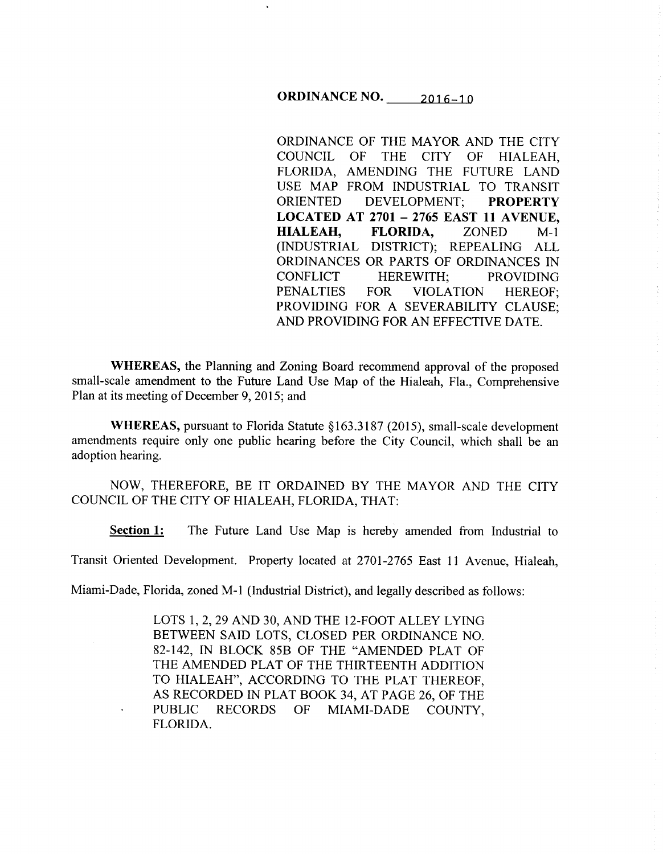# ORDINANCE NO. 2016-10

ORDINANCE OF THE MAYOR AND THE CITY COUNCIL OF THE CITY OF HIALEAH, FLORIDA, AMENDING THE FUTURE LAND USE MAP FROM INDUSTRIAL TO TRANSIT ORIENTED DEVELOPMENT; PROPERTY LOCATED AT 2701 - 2765 EAST 11 AVENUE, HIALEAH, FLORIDA, ZONED M-1 (INDUSTRIAL DISTRICT); REPEALING ALL ORDINANCES OR PARTS OF ORDINANCES IN CONFLICT HEREWITH; PROVIDING PENALTIES FOR VIOLATION HEREOF; PROVIDING FOR A SEVERABILITY CLAUSE; AND PROVIDING FOR AN EFFECTIVE DATE.

WHEREAS, the Planning and Zoning Board recommend approval of the proposed small-scale amendment to the Future Land Use Map of the Hialeah, Fla., Comprehensive Plan at its meeting of December 9, 2015; and

WHEREAS, pursuant to Florida Statute §163.3187 (2015), small-scale development amendments require only one public hearing before the City Council, which shall be an adoption hearing.

NOW, THEREFORE, BE IT ORDAINED BY THE MAYOR AND THE CITY COUNCIL OF THE CITY OF HIALEAH, FLORIDA, THAT:

Section 1: The Future Land Use Map is hereby amended from Industrial to

Transit Oriented Development. Property located at 2701-2765 East 11 Avenue, Hialeah,

Miami-Dade, Florida, zoned M-1 (Industrial District), and legally described as follows:

LOTS 1, 2, 29 AND 30, AND THE 12-FOOT ALLEY LYING BETWEEN SAID LOTS, CLOSED PER ORDINANCE NO. 82-142, IN BLOCK 85B OF THE "AMENDED PLAT OF THE AMENDED PLAT OF THE THIRTEENTH ADDITION TO HIALEAH", ACCORDING TO THE PLAT THEREOF, AS RECORDED IN PLAT BOOK 34, AT PAGE 26, OF THE PUBLIC RECORDS OF MIAMI-DADE COUNTY, FLORIDA.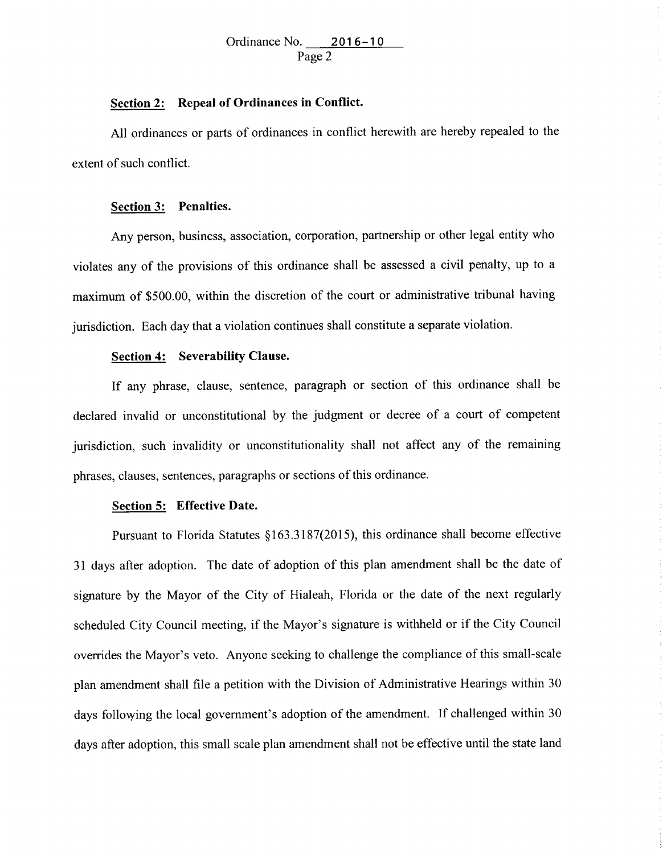## **Section 2: Repeal of Ordinances in Conflict.**

All ordinances or parts of ordinances in conflict herewith are hereby repealed to the extent of such conflict.

#### **Section 3: Penalties.**

Any person, business, association, corporation, partnership or other legal entity who violates any of the provisions of this ordinance shall be assessed a civil penalty, up to a maximum of \$500.00, within the discretion of the court or administrative tribunal having jurisdiction. Each day that a violation continues shall constitute a separate violation.

## **Section 4: Severability Clause.**

If any phrase, clause, sentence, paragraph or section of this ordinance shall be declared invalid or unconstitutional by the judgment or decree of a court of competent jurisdiction, such invalidity or unconstitutionality shall not affect any of the remaining <sup>p</sup>hrases, clauses, sentences, paragraphs or sections of this ordinance.

## **Section 5: Effective Date.**

Pursuant to Florida Statutes §163.3187(2015), this ordinance shall become effective <sup>31</sup>days after adoption. The date of adoption of this plan amendment shall be the date of signature by the Mayor of the City of Hialeah, Florida or the date of the next regularly scheduled City Council meeting, if the Mayor's signature is withheld or if the City Council overrides the Mayor's veto. Anyone seeking to challenge the compliance of this small-scale <sup>p</sup>lan amendment shall file a petition with the Division of Administrative Hearings within 30 days following the local government's adoption of the amendment. If challenged within 30 days after adoption, this small scale plan amendment shall not be effective until the state land